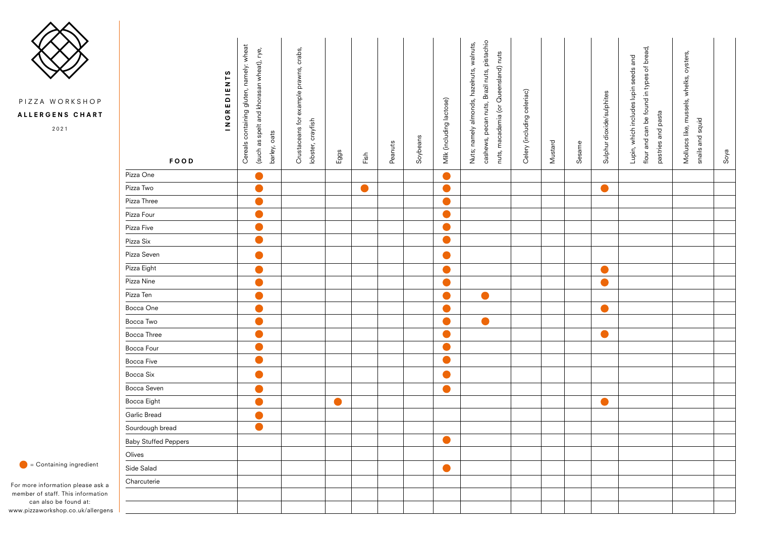| ဖ<br>$\begin{array}{c}\nZ \\ I\n\end{array}$<br>$\overline{E}$<br>$\propto$<br>$\boldsymbol{\mathsf{C}}$<br>$\mathbf{z}$<br>FOOD | containing gluten, namely: wheat<br>(such as spelt and khorasan wheat), rye,<br>barley, oats<br>Cereals | crabs,<br>Crustaceans for example prawns,<br>lobster, crayfish | Eggs      | $\overline{E}$ | Peanuts | Soybeans | Milk (including lactose) | cashews, pecan nuts, Brazil nuts, pistachio<br>Nuts; namely almonds, hazelnuts, walnuts,<br>nuts, macadamia (or Queensland) nuts | celeriac)<br>Celery (including | Mustard | Sesame | Sulphur dioxide/sulphites | flour and can be found in types of bread,<br>Lupin, which includes lupin seeds and<br>pastries and pasta | oysters,<br>Molluscs like, mussels, whelks,<br>snails and squid | Soya |
|----------------------------------------------------------------------------------------------------------------------------------|---------------------------------------------------------------------------------------------------------|----------------------------------------------------------------|-----------|----------------|---------|----------|--------------------------|----------------------------------------------------------------------------------------------------------------------------------|--------------------------------|---------|--------|---------------------------|----------------------------------------------------------------------------------------------------------|-----------------------------------------------------------------|------|
| Pizza One                                                                                                                        | $\bullet$                                                                                               |                                                                |           |                |         |          | O                        |                                                                                                                                  |                                |         |        |                           |                                                                                                          |                                                                 |      |
| Pizza Two                                                                                                                        | $\bullet$                                                                                               |                                                                |           | $\bullet$      |         |          | A                        |                                                                                                                                  |                                |         |        | O                         |                                                                                                          |                                                                 |      |
| Pizza Three                                                                                                                      | $\bullet$                                                                                               |                                                                |           |                |         |          |                          |                                                                                                                                  |                                |         |        |                           |                                                                                                          |                                                                 |      |
| Pizza Four                                                                                                                       | $\bullet$                                                                                               |                                                                |           |                |         |          | $\bullet$                |                                                                                                                                  |                                |         |        |                           |                                                                                                          |                                                                 |      |
| Pizza Five                                                                                                                       | $\bullet$                                                                                               |                                                                |           |                |         |          | $\bullet$                |                                                                                                                                  |                                |         |        |                           |                                                                                                          |                                                                 |      |
| Pizza Six                                                                                                                        | $\bullet$                                                                                               |                                                                |           |                |         |          | $\bullet$                |                                                                                                                                  |                                |         |        |                           |                                                                                                          |                                                                 |      |
| Pizza Seven                                                                                                                      |                                                                                                         |                                                                |           |                |         |          | $\blacksquare$           |                                                                                                                                  |                                |         |        |                           |                                                                                                          |                                                                 |      |
| Pizza Eight                                                                                                                      | $\bullet$                                                                                               |                                                                |           |                |         |          | $\bullet$                |                                                                                                                                  |                                |         |        | O                         |                                                                                                          |                                                                 |      |
| Pizza Nine                                                                                                                       | $\bullet$                                                                                               |                                                                |           |                |         |          | $\bullet$                |                                                                                                                                  |                                |         |        | $\bullet$                 |                                                                                                          |                                                                 |      |
| Pizza Ten                                                                                                                        |                                                                                                         |                                                                |           |                |         |          | $\qquad \qquad \bullet$  |                                                                                                                                  |                                |         |        |                           |                                                                                                          |                                                                 |      |
| Bocca One                                                                                                                        |                                                                                                         |                                                                |           |                |         |          |                          |                                                                                                                                  |                                |         |        |                           |                                                                                                          |                                                                 |      |
| Bocca Two                                                                                                                        |                                                                                                         |                                                                |           |                |         |          | O)                       |                                                                                                                                  |                                |         |        |                           |                                                                                                          |                                                                 |      |
| Bocca Three                                                                                                                      | $\bullet$                                                                                               |                                                                |           |                |         |          |                          |                                                                                                                                  |                                |         |        | $\bullet$                 |                                                                                                          |                                                                 |      |
| Bocca Four                                                                                                                       |                                                                                                         |                                                                |           |                |         |          | $\blacksquare$           |                                                                                                                                  |                                |         |        |                           |                                                                                                          |                                                                 |      |
| Bocca Five                                                                                                                       | Œ                                                                                                       |                                                                |           |                |         |          | $\bullet$                |                                                                                                                                  |                                |         |        |                           |                                                                                                          |                                                                 |      |
| Bocca Six                                                                                                                        |                                                                                                         |                                                                |           |                |         |          | r e                      |                                                                                                                                  |                                |         |        |                           |                                                                                                          |                                                                 |      |
| Bocca Seven                                                                                                                      |                                                                                                         |                                                                |           |                |         |          | $\bullet$                |                                                                                                                                  |                                |         |        |                           |                                                                                                          |                                                                 |      |
| Bocca Eight                                                                                                                      | $\bullet$                                                                                               |                                                                | $\bullet$ |                |         |          |                          |                                                                                                                                  |                                |         |        | $\bullet$                 |                                                                                                          |                                                                 |      |
| Garlic Bread                                                                                                                     |                                                                                                         |                                                                |           |                |         |          |                          |                                                                                                                                  |                                |         |        |                           |                                                                                                          |                                                                 |      |
| Sourdough bread                                                                                                                  |                                                                                                         |                                                                |           |                |         |          |                          |                                                                                                                                  |                                |         |        |                           |                                                                                                          |                                                                 |      |
| <b>Baby Stuffed Peppers</b>                                                                                                      |                                                                                                         |                                                                |           |                |         |          | $\bullet$                |                                                                                                                                  |                                |         |        |                           |                                                                                                          |                                                                 |      |
| Olives                                                                                                                           |                                                                                                         |                                                                |           |                |         |          |                          |                                                                                                                                  |                                |         |        |                           |                                                                                                          |                                                                 |      |
| Side Salad                                                                                                                       |                                                                                                         |                                                                |           |                |         |          | $\bullet$                |                                                                                                                                  |                                |         |        |                           |                                                                                                          |                                                                 |      |
| Charcuterie                                                                                                                      |                                                                                                         |                                                                |           |                |         |          |                          |                                                                                                                                  |                                |         |        |                           |                                                                                                          |                                                                 |      |
|                                                                                                                                  |                                                                                                         |                                                                |           |                |         |          |                          |                                                                                                                                  |                                |         |        |                           |                                                                                                          |                                                                 |      |
|                                                                                                                                  |                                                                                                         |                                                                |           |                |         |          |                          |                                                                                                                                  |                                |         |        |                           |                                                                                                          |                                                                 |      |

 $\bullet$  = Containing ingredient

For more information please ask a member of staff. This information can also be found at: www.pizzaworkshop.co.uk/allergens



PIZZA WORKSHOP

ALLERGENS CHART

2021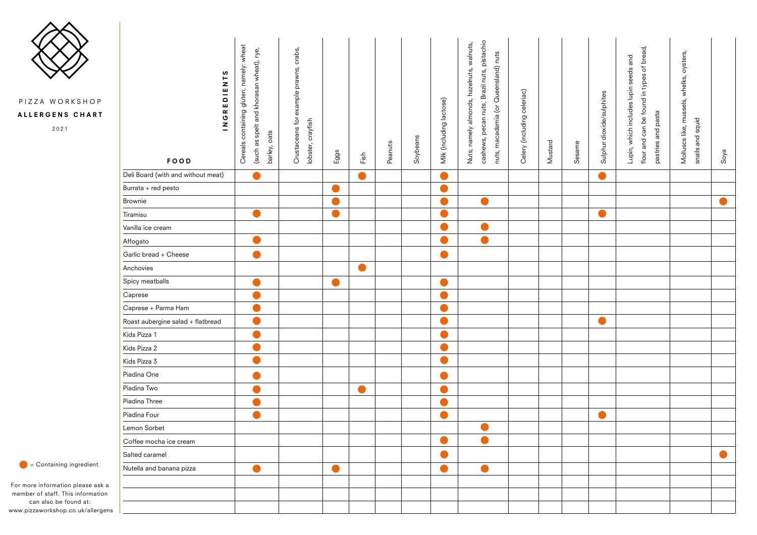| ဖာ<br>⊢<br>$\begin{array}{c}\nZ \\ U\n\end{array}$<br>INGRED<br>FOOD | namely: wheat<br>(such as spelt and khorasan wheat), rye,<br>Cereals containing gluten,<br>barley, oats | crabs,<br>example prawns,<br>Crustaceans for<br>crayfish<br>lobster, | Eggs           | Fix       | Peanuts | Soybeans | Milk (including lactose) | cashews, pecan nuts, Brazil nuts, pistachio<br>Nuts; namely almonds, hazelnuts, walnuts,<br>nuts, macadamia (or Queensland) nuts | Celery (including celeriac) | Mustard | Sesame | Sulphur dioxide/sulphites | flour and can be found in types of bread,<br>Lupin, which includes lupin seeds and<br>pastries and pasta | Molluscs like, mussels, whelks, oysters,<br>snails and squid | Soya |
|----------------------------------------------------------------------|---------------------------------------------------------------------------------------------------------|----------------------------------------------------------------------|----------------|-----------|---------|----------|--------------------------|----------------------------------------------------------------------------------------------------------------------------------|-----------------------------|---------|--------|---------------------------|----------------------------------------------------------------------------------------------------------|--------------------------------------------------------------|------|
| Deli Board (with and without meat)                                   |                                                                                                         |                                                                      |                | $\bullet$ |         |          | $\bullet$                |                                                                                                                                  |                             |         |        | $\bullet$                 |                                                                                                          |                                                              |      |
| Burrata + red pesto                                                  |                                                                                                         |                                                                      |                |           |         |          | n                        |                                                                                                                                  |                             |         |        |                           |                                                                                                          |                                                              |      |
| Brownie                                                              |                                                                                                         |                                                                      | $\blacksquare$ |           |         |          | O                        | O                                                                                                                                |                             |         |        |                           |                                                                                                          |                                                              |      |
| Tiramisu                                                             |                                                                                                         |                                                                      | $\bullet$      |           |         |          | O                        |                                                                                                                                  |                             |         |        | $\bullet$                 |                                                                                                          |                                                              |      |
| Vanilla ice cream                                                    |                                                                                                         |                                                                      |                |           |         |          | Ω                        |                                                                                                                                  |                             |         |        |                           |                                                                                                          |                                                              |      |
| Affogato                                                             |                                                                                                         |                                                                      |                |           |         |          | $\blacksquare$           | $\bullet$                                                                                                                        |                             |         |        |                           |                                                                                                          |                                                              |      |
| Garlic bread + Cheese                                                |                                                                                                         |                                                                      |                |           |         |          | $\blacksquare$           |                                                                                                                                  |                             |         |        |                           |                                                                                                          |                                                              |      |
| Anchovies                                                            |                                                                                                         |                                                                      |                | $\bullet$ |         |          |                          |                                                                                                                                  |                             |         |        |                           |                                                                                                          |                                                              |      |
| Spicy meatballs                                                      |                                                                                                         |                                                                      |                |           |         |          | o.                       |                                                                                                                                  |                             |         |        |                           |                                                                                                          |                                                              |      |
| Caprese                                                              |                                                                                                         |                                                                      |                |           |         |          |                          |                                                                                                                                  |                             |         |        |                           |                                                                                                          |                                                              |      |
| Caprese + Parma Ham                                                  |                                                                                                         |                                                                      |                |           |         |          | e e                      |                                                                                                                                  |                             |         |        |                           |                                                                                                          |                                                              |      |
| Roast aubergine salad + flatbread                                    |                                                                                                         |                                                                      |                |           |         |          |                          |                                                                                                                                  |                             |         |        |                           |                                                                                                          |                                                              |      |
| Kids Pizza 1                                                         |                                                                                                         |                                                                      |                |           |         |          |                          |                                                                                                                                  |                             |         |        |                           |                                                                                                          |                                                              |      |
| Kids Pizza 2                                                         |                                                                                                         |                                                                      |                |           |         |          |                          |                                                                                                                                  |                             |         |        |                           |                                                                                                          |                                                              |      |
| Kids Pizza 3                                                         |                                                                                                         |                                                                      |                |           |         |          |                          |                                                                                                                                  |                             |         |        |                           |                                                                                                          |                                                              |      |
| Piadina One                                                          |                                                                                                         |                                                                      |                |           |         |          |                          |                                                                                                                                  |                             |         |        |                           |                                                                                                          |                                                              |      |
| Piadina Two                                                          |                                                                                                         |                                                                      |                |           |         |          |                          |                                                                                                                                  |                             |         |        |                           |                                                                                                          |                                                              |      |
| Piadina Three                                                        |                                                                                                         |                                                                      |                |           |         |          |                          |                                                                                                                                  |                             |         |        |                           |                                                                                                          |                                                              |      |
| Piadina Four                                                         |                                                                                                         |                                                                      |                |           |         |          |                          |                                                                                                                                  |                             |         |        |                           |                                                                                                          |                                                              |      |
| Lemon Sorbet                                                         |                                                                                                         |                                                                      |                |           |         |          |                          |                                                                                                                                  |                             |         |        |                           |                                                                                                          |                                                              |      |
| Coffee mocha ice cream                                               |                                                                                                         |                                                                      |                |           |         |          |                          |                                                                                                                                  |                             |         |        |                           |                                                                                                          |                                                              |      |
| Salted caramel                                                       |                                                                                                         |                                                                      |                |           |         |          |                          |                                                                                                                                  |                             |         |        |                           |                                                                                                          |                                                              |      |
| Nutella and banana pizza                                             |                                                                                                         |                                                                      |                |           |         |          |                          |                                                                                                                                  |                             |         |        |                           |                                                                                                          |                                                              |      |
|                                                                      |                                                                                                         |                                                                      |                |           |         |          |                          |                                                                                                                                  |                             |         |        |                           |                                                                                                          |                                                              |      |
|                                                                      |                                                                                                         |                                                                      |                |           |         |          |                          |                                                                                                                                  |                             |         |        |                           |                                                                                                          |                                                              |      |
|                                                                      |                                                                                                         |                                                                      |                |           |         |          |                          |                                                                                                                                  |                             |         |        |                           |                                                                                                          |                                                              |      |

 $\bullet$  = Containing ingredient

For more information please ask a member of staff. This information can also be found at: www.pizzaworkshop.co.uk/allergens



## PIZZA WORKSHOP

## ALLERGENS CHART

2021